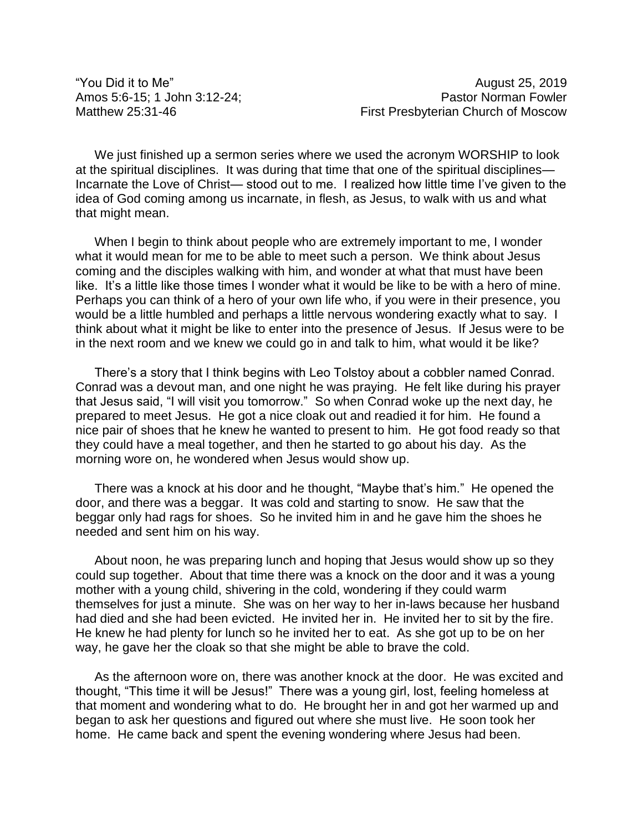"You Did it to Me" example 25, 2019

Amos 5:6-15; 1 John 3:12-24; Pastor Norman Fowler Matthew 25:31-46 **Matthew 25:31-46** First Presbyterian Church of Moscow

We just finished up a sermon series where we used the acronym WORSHIP to look at the spiritual disciplines. It was during that time that one of the spiritual disciplines— Incarnate the Love of Christ— stood out to me. I realized how little time I've given to the idea of God coming among us incarnate, in flesh, as Jesus, to walk with us and what that might mean.

When I begin to think about people who are extremely important to me, I wonder what it would mean for me to be able to meet such a person. We think about Jesus coming and the disciples walking with him, and wonder at what that must have been like. It's a little like those times I wonder what it would be like to be with a hero of mine. Perhaps you can think of a hero of your own life who, if you were in their presence, you would be a little humbled and perhaps a little nervous wondering exactly what to say. I think about what it might be like to enter into the presence of Jesus. If Jesus were to be in the next room and we knew we could go in and talk to him, what would it be like?

There's a story that I think begins with Leo Tolstoy about a cobbler named Conrad. Conrad was a devout man, and one night he was praying. He felt like during his prayer that Jesus said, "I will visit you tomorrow." So when Conrad woke up the next day, he prepared to meet Jesus. He got a nice cloak out and readied it for him. He found a nice pair of shoes that he knew he wanted to present to him. He got food ready so that they could have a meal together, and then he started to go about his day. As the morning wore on, he wondered when Jesus would show up.

There was a knock at his door and he thought, "Maybe that's him." He opened the door, and there was a beggar. It was cold and starting to snow. He saw that the beggar only had rags for shoes. So he invited him in and he gave him the shoes he needed and sent him on his way.

About noon, he was preparing lunch and hoping that Jesus would show up so they could sup together. About that time there was a knock on the door and it was a young mother with a young child, shivering in the cold, wondering if they could warm themselves for just a minute. She was on her way to her in-laws because her husband had died and she had been evicted. He invited her in. He invited her to sit by the fire. He knew he had plenty for lunch so he invited her to eat. As she got up to be on her way, he gave her the cloak so that she might be able to brave the cold.

As the afternoon wore on, there was another knock at the door. He was excited and thought, "This time it will be Jesus!" There was a young girl, lost, feeling homeless at that moment and wondering what to do. He brought her in and got her warmed up and began to ask her questions and figured out where she must live. He soon took her home. He came back and spent the evening wondering where Jesus had been.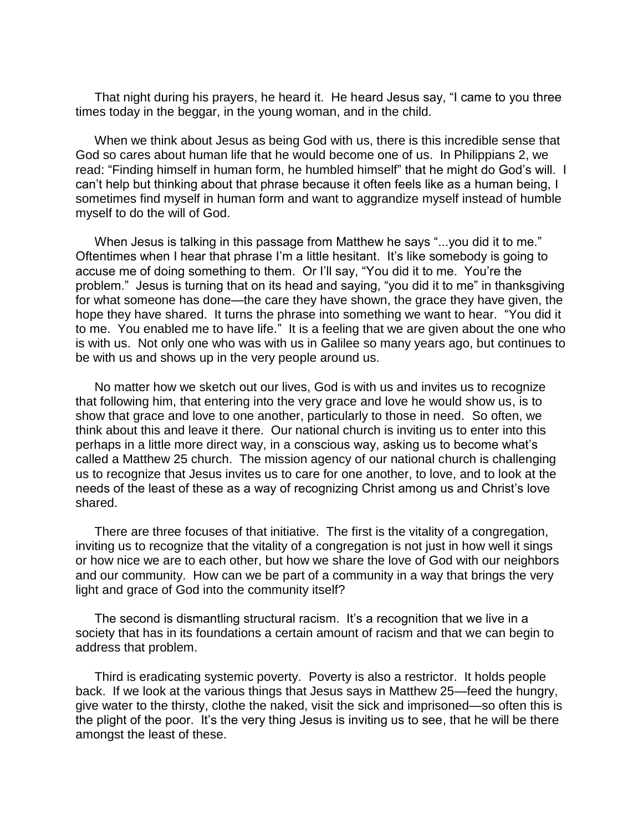That night during his prayers, he heard it. He heard Jesus say, "I came to you three times today in the beggar, in the young woman, and in the child.

When we think about Jesus as being God with us, there is this incredible sense that God so cares about human life that he would become one of us. In Philippians 2, we read: "Finding himself in human form, he humbled himself" that he might do God's will. I can't help but thinking about that phrase because it often feels like as a human being, I sometimes find myself in human form and want to aggrandize myself instead of humble myself to do the will of God.

When Jesus is talking in this passage from Matthew he says "...you did it to me." Oftentimes when I hear that phrase I'm a little hesitant. It's like somebody is going to accuse me of doing something to them. Or I'll say, "You did it to me. You're the problem." Jesus is turning that on its head and saying, "you did it to me" in thanksgiving for what someone has done—the care they have shown, the grace they have given, the hope they have shared. It turns the phrase into something we want to hear. "You did it to me. You enabled me to have life." It is a feeling that we are given about the one who is with us. Not only one who was with us in Galilee so many years ago, but continues to be with us and shows up in the very people around us.

No matter how we sketch out our lives, God is with us and invites us to recognize that following him, that entering into the very grace and love he would show us, is to show that grace and love to one another, particularly to those in need. So often, we think about this and leave it there. Our national church is inviting us to enter into this perhaps in a little more direct way, in a conscious way, asking us to become what's called a Matthew 25 church. The mission agency of our national church is challenging us to recognize that Jesus invites us to care for one another, to love, and to look at the needs of the least of these as a way of recognizing Christ among us and Christ's love shared.

There are three focuses of that initiative. The first is the vitality of a congregation, inviting us to recognize that the vitality of a congregation is not just in how well it sings or how nice we are to each other, but how we share the love of God with our neighbors and our community. How can we be part of a community in a way that brings the very light and grace of God into the community itself?

The second is dismantling structural racism. It's a recognition that we live in a society that has in its foundations a certain amount of racism and that we can begin to address that problem.

Third is eradicating systemic poverty. Poverty is also a restrictor. It holds people back. If we look at the various things that Jesus says in Matthew 25—feed the hungry, give water to the thirsty, clothe the naked, visit the sick and imprisoned—so often this is the plight of the poor. It's the very thing Jesus is inviting us to see, that he will be there amongst the least of these.